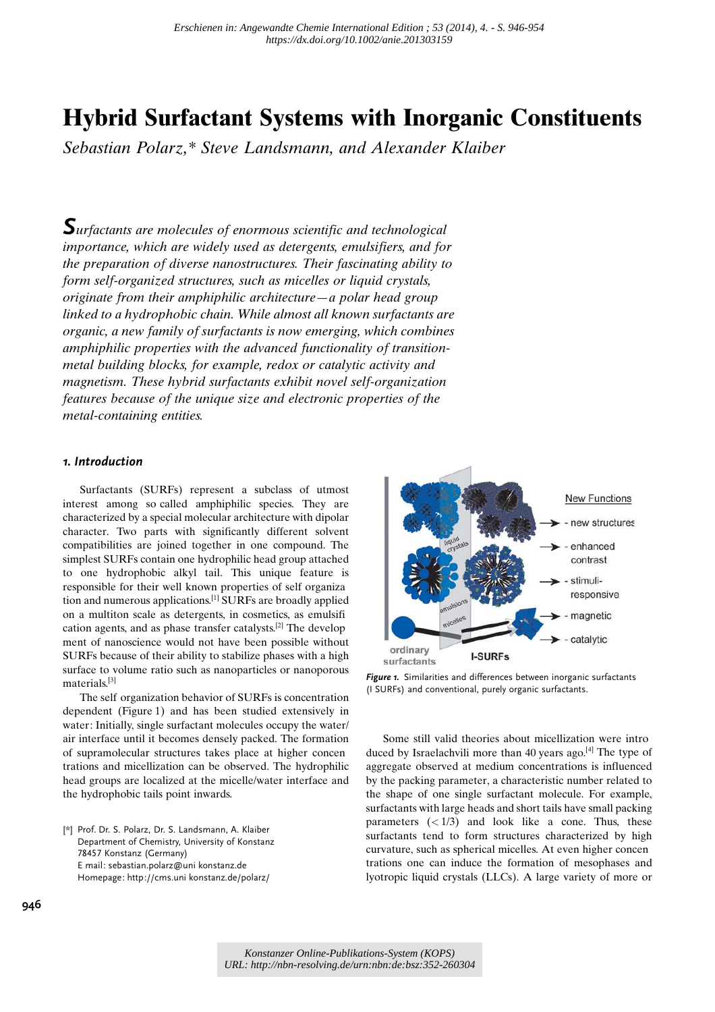# Hybrid Surfactant Systems with Inorganic Constituents

Sebastian Polarz,\* Steve Landsmann, and Alexander Klaiber

Surfactants are molecules of enormous scientific and technological importance, which are widely used as detergents, emulsifiers, and for the preparation of diverse nanostructures. Their fascinating ability to form self-organized structures, such as micelles or liquid crystals, originate from their amphiphilic architecture—a polar head group linked to a hydrophobic chain. While almost all known surfactants are organic, a new family of surfactants is now emerging, which combines amphiphilic properties with the advanced functionality of transitionmetal building blocks, for example, redox or catalytic activity and magnetism. These hybrid surfactants exhibit novel self-organization features because of the unique size and electronic properties of the metal-containing entities.

### 1. Introduction

Surfactants (SURFs) represent a subclass of utmost interest among so called amphiphilic species. They are characterized by a special molecular architecture with dipolar character. Two parts with significantly different solvent compatibilities are joined together in one compound. The simplest SURFs contain one hydrophilic head group attached to one hydrophobic alkyl tail. This unique feature is responsible for their well known properties of self organiza tion and numerous applications.[1] SURFs are broadly applied on a multiton scale as detergents, in cosmetics, as emulsifi cation agents, and as phase transfer catalysts.[2] The develop ment of nanoscience would not have been possible without SURFs because of their ability to stabilize phases with a high surface to volume ratio such as nanoparticles or nanoporous materials.[3]

The self organization behavior of SURFs is concentration dependent (Figure 1) and has been studied extensively in water: Initially, single surfactant molecules occupy the water/ air interface until it becomes densely packed. The formation of supramolecular structures takes place at higher concen trations and micellization can be observed. The hydrophilic head groups are localized at the micelle/water interface and the hydrophobic tails point inwards.

[\*] Prof. Dr. S. Polarz, Dr. S. Landsmann, A. Klaiber Department of Chemistry, University of Konstanz 78457 Konstanz (Germany) E mail: sebastian.polarz@uni konstanz.de Homepage: http://cms.uni konstanz.de/polarz/



Figure 1. Similarities and differences between inorganic surfactants (I SURFs) and conventional, purely organic surfactants.

Some still valid theories about micellization were intro duced by Israelachvili more than 40 years ago.<sup>[4]</sup> The type of aggregate observed at medium concentrations is influenced by the packing parameter, a characteristic number related to the shape of one single surfactant molecule. For example, surfactants with large heads and short tails have small packing parameters  $\left(\frac{1}{3}\right)$  and look like a cone. Thus, these surfactants tend to form structures characterized by high curvature, such as spherical micelles. At even higher concen trations one can induce the formation of mesophases and lyotropic liquid crystals (LLCs). A large variety of more or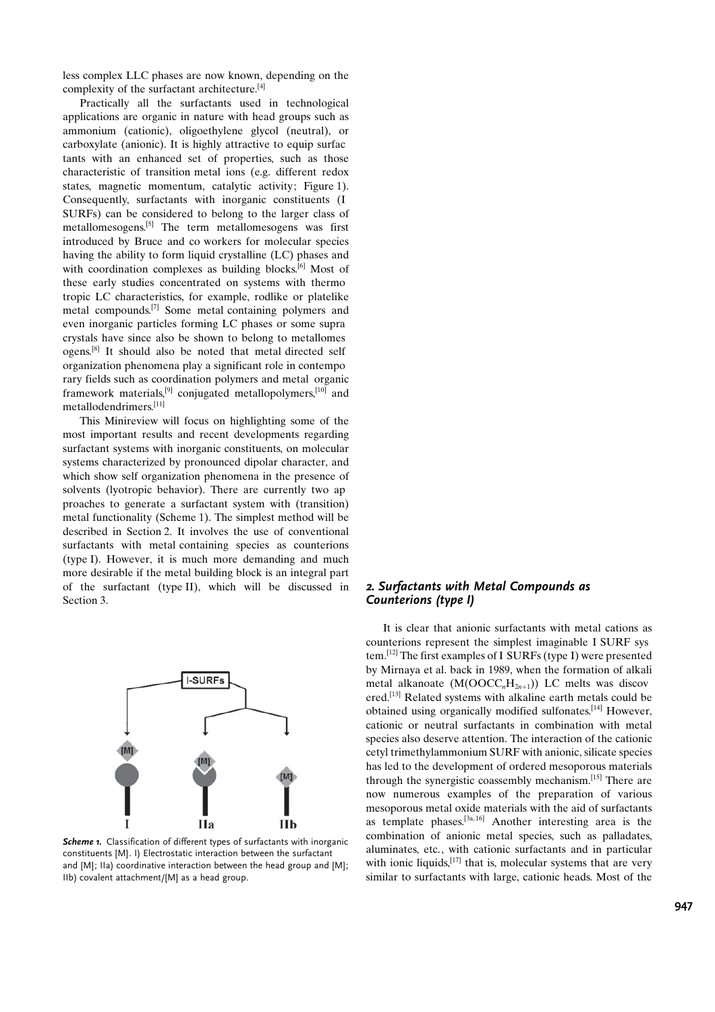less complex LLC phases are now known, depending on the complexity of the surfactant architecture.[4]

Practically all the surfactants used in technological applications are organic in nature with head groups such as ammonium (cationic), oligoethylene glycol (neutral), or carboxylate (anionic). It is highly attractive to equip surfac tants with an enhanced set of properties, such as those characteristic of transition metal ions (e.g. different redox states, magnetic momentum, catalytic activity; Figure 1). Consequently, surfactants with inorganic constituents (I SURFs) can be considered to belong to the larger class of metallomesogens.[5] The term metallomesogens was first introduced by Bruce and co workers for molecular species having the ability to form liquid crystalline (LC) phases and with coordination complexes as building blocks.<sup>[6]</sup> Most of these early studies concentrated on systems with thermo tropic LC characteristics, for example, rodlike or platelike metal compounds.[7] Some metal containing polymers and even inorganic particles forming LC phases or some supra crystals have since also be shown to belong to metallomes ogens.[8] It should also be noted that metal directed self organization phenomena play a significant role in contempo rary fields such as coordination polymers and metal organic framework materials,[9] conjugated metallopolymers,[10] and metallodendrimers.[11]

This Minireview will focus on highlighting some of the most important results and recent developments regarding surfactant systems with inorganic constituents, on molecular systems characterized by pronounced dipolar character, and which show self organization phenomena in the presence of solvents (lyotropic behavior). There are currently two ap proaches to generate a surfactant system with (transition) metal functionality (Scheme 1). The simplest method will be described in Section 2. It involves the use of conventional surfactants with metal containing species as counterions (type I). However, it is much more demanding and much more desirable if the metal building block is an integral part of the surfactant (type II), which will be discussed in Section 3.



Scheme 1. Classification of different types of surfactants with inorganic constituents [M]. I) Electrostatic interaction between the surfactant and [M]; IIa) coordinative interaction between the head group and [M]; IIb) covalent attachment/[M] as a head group.

## 2. Surfactants with Metal Compounds as Counterions (type I)

It is clear that anionic surfactants with metal cations as counterions represent the simplest imaginable I SURF sys tem.[12] The first examples of I SURFs (type I) were presented by Mirnaya et al. back in 1989, when the formation of alkali metal alkanoate  $(M(OOCC<sub>n</sub>H<sub>2n+1</sub>))$  LC melts was discov ered.[13] Related systems with alkaline earth metals could be obtained using organically modified sulfonates.[14] However, cationic or neutral surfactants in combination with metal species also deserve attention. The interaction of the cationic cetyl trimethylammonium SURF with anionic, silicate species has led to the development of ordered mesoporous materials through the synergistic coassembly mechanism.[15] There are now numerous examples of the preparation of various mesoporous metal oxide materials with the aid of surfactants as template phases.<sup>[3a, 16]</sup> Another interesting area is the combination of anionic metal species, such as palladates, aluminates, etc., with cationic surfactants and in particular with ionic liquids,  $[17]$  that is, molecular systems that are very similar to surfactants with large, cationic heads. Most of the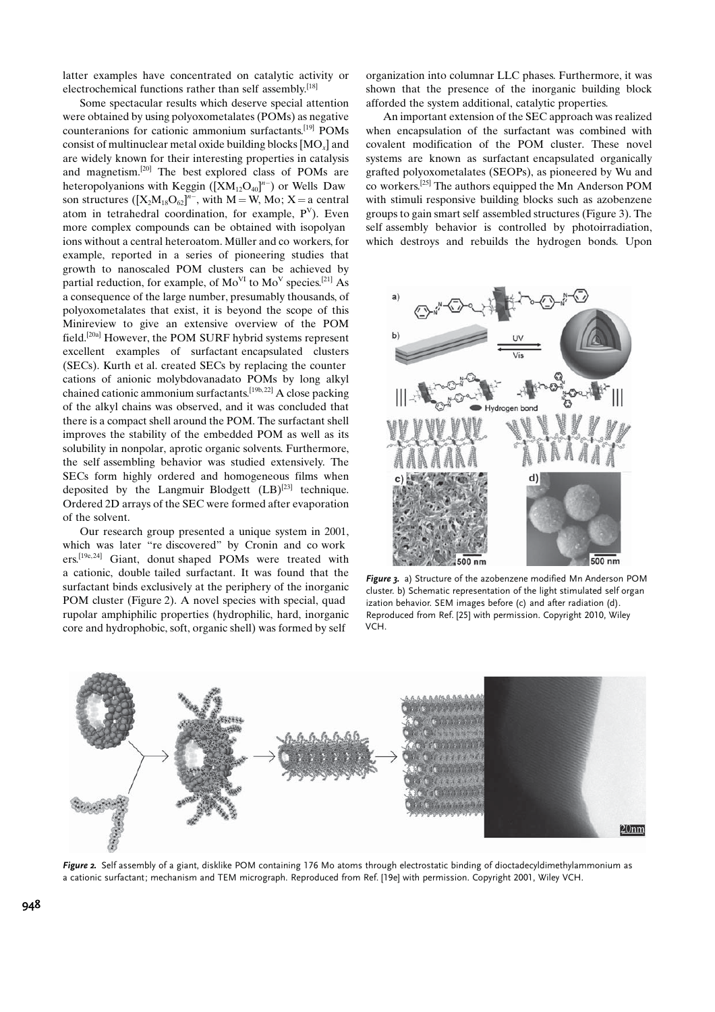latter examples have concentrated on catalytic activity or electrochemical functions rather than self assembly.<sup>[18]</sup>

Some spectacular results which deserve special attention were obtained by using polyoxometalates (POMs) as negative counteranions for cationic ammonium surfactants.[19] POMs consist of multinuclear metal oxide building blocks  $[MO<sub>x</sub>]$  and are widely known for their interesting properties in catalysis and magnetism.[20] The best explored class of POMs are heteropolyanions with Keggin  $([XM<sub>12</sub>O<sub>40</sub>]<sup>n-</sup>)$  or Wells Daw son structures  $([X_2M_{18}O_{62}]^{n-}$ , with  $M = W$ , Mo; X = a central atom in tetrahedral coordination, for example,  $P<sup>V</sup>$ ). Even more complex compounds can be obtained with isopolyan ions without a central heteroatom. Müller and co workers, for example, reported in a series of pioneering studies that growth to nanoscaled POM clusters can be achieved by partial reduction, for example, of  $Mo<sup>VI</sup>$  to  $Mo<sup>V</sup>$  species.<sup>[21]</sup> As a consequence of the large number, presumably thousands, of polyoxometalates that exist, it is beyond the scope of this Minireview to give an extensive overview of the POM field.[20a] However, the POM SURF hybrid systems represent excellent examples of surfactant encapsulated clusters (SECs). Kurth et al. created SECs by replacing the counter cations of anionic molybdovanadato POMs by long alkyl chained cationic ammonium surfactants.[19b, 22] A close packing of the alkyl chains was observed, and it was concluded that there is a compact shell around the POM. The surfactant shell improves the stability of the embedded POM as well as its solubility in nonpolar, aprotic organic solvents. Furthermore, the self assembling behavior was studied extensively. The SECs form highly ordered and homogeneous films when deposited by the Langmuir Blodgett  $(LB)^{[23]}$  technique. Ordered 2D arrays of the SEC were formed after evaporation of the solvent.

Our research group presented a unique system in 2001, which was later "re discovered" by Cronin and co work ers.[19e, 24] Giant, donut shaped POMs were treated with a cationic, double tailed surfactant. It was found that the surfactant binds exclusively at the periphery of the inorganic POM cluster (Figure 2). A novel species with special, quad rupolar amphiphilic properties (hydrophilic, hard, inorganic core and hydrophobic, soft, organic shell) was formed by self

organization into columnar LLC phases. Furthermore, it was shown that the presence of the inorganic building block afforded the system additional, catalytic properties.

An important extension of the SEC approach was realized when encapsulation of the surfactant was combined with covalent modification of the POM cluster. These novel systems are known as surfactant encapsulated organically grafted polyoxometalates (SEOPs), as pioneered by Wu and co workers.[25] The authors equipped the Mn Anderson POM with stimuli responsive building blocks such as azobenzene groups to gain smart self assembled structures (Figure 3). The self assembly behavior is controlled by photoirradiation, which destroys and rebuilds the hydrogen bonds. Upon



Figure 3. a) Structure of the azobenzene modified Mn Anderson POM cluster. b) Schematic representation of the light stimulated self organ ization behavior. SEM images before (c) and after radiation (d). Reproduced from Ref. [25] with permission. Copyright 2010, Wiley VCH.



Figure 2. Self assembly of a giant, disklike POM containing 176 Mo atoms through electrostatic binding of dioctadecyldimethylammonium as a cationic surfactant; mechanism and TEM micrograph. Reproduced from Ref. [19e] with permission. Copyright 2001, Wiley VCH.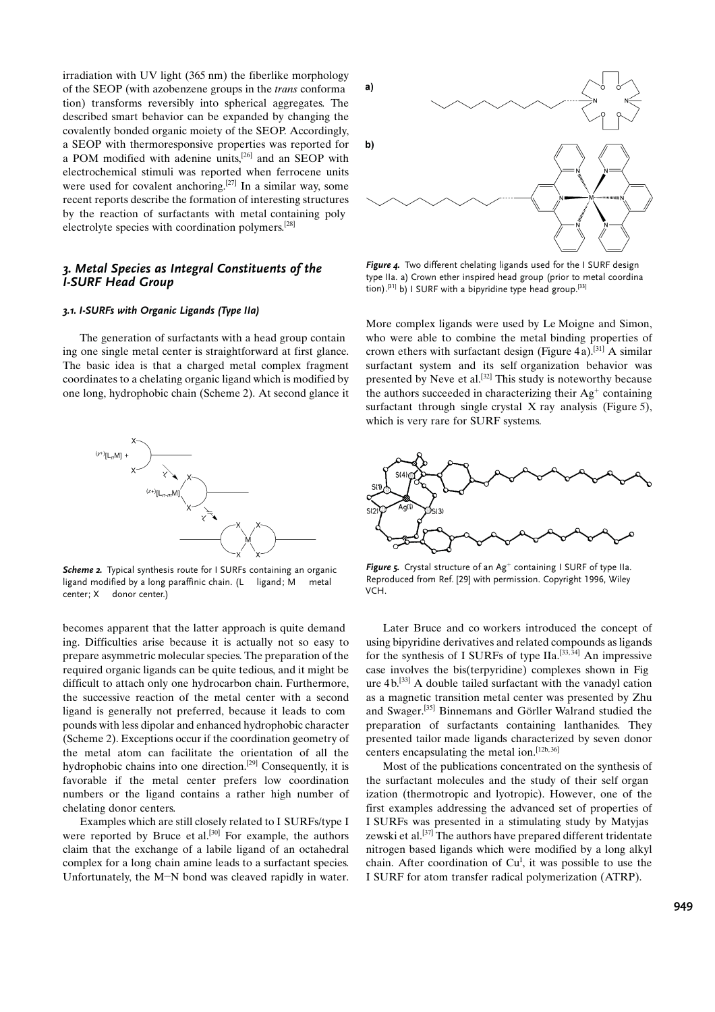irradiation with UV light (365 nm) the fiberlike morphology of the SEOP (with azobenzene groups in the trans conforma tion) transforms reversibly into spherical aggregates. The described smart behavior can be expanded by changing the covalently bonded organic moiety of the SEOP. Accordingly, a SEOP with thermoresponsive properties was reported for a POM modified with adenine units,[26] and an SEOP with electrochemical stimuli was reported when ferrocene units were used for covalent anchoring.<sup>[27]</sup> In a similar way, some recent reports describe the formation of interesting structures by the reaction of surfactants with metal containing poly electrolyte species with coordination polymers.[28]

## 3. Metal Species as Integral Constituents of the I-SURF Head Group

#### 3.1. I-SURFs with Organic Ligands (Type IIa)

The generation of surfactants with a head group contain ing one single metal center is straightforward at first glance. The basic idea is that a charged metal complex fragment coordinates to a chelating organic ligand which is modified by one long, hydrophobic chain (Scheme 2). At second glance it



Scheme 2. Typical synthesis route for I SURFs containing an organic ligand modified by a long paraffinic chain. (L ligand; M metal center; X donor center.)

becomes apparent that the latter approach is quite demand ing. Difficulties arise because it is actually not so easy to prepare asymmetric molecular species. The preparation of the required organic ligands can be quite tedious, and it might be difficult to attach only one hydrocarbon chain. Furthermore, the successive reaction of the metal center with a second ligand is generally not preferred, because it leads to com pounds with less dipolar and enhanced hydrophobic character (Scheme 2). Exceptions occur if the coordination geometry of the metal atom can facilitate the orientation of all the hydrophobic chains into one direction.[29] Consequently, it is favorable if the metal center prefers low coordination numbers or the ligand contains a rather high number of chelating donor centers.

Examples which are still closely related to I SURFs/type I were reported by Bruce et al.<sup>[30]</sup> For example, the authors claim that the exchange of a labile ligand of an octahedral complex for a long chain amine leads to a surfactant species. Unfortunately, the M-N bond was cleaved rapidly in water.



Figure 4. Two different chelating ligands used for the I SURF design type IIa. a) Crown ether inspired head group (prior to metal coordina tion).<sup>[31]</sup> b) I SURF with a bipyridine type head group.<sup>[33]</sup>

More complex ligands were used by Le Moigne and Simon, who were able to combine the metal binding properties of crown ethers with surfactant design (Figure 4a).<sup>[31]</sup> A similar surfactant system and its self organization behavior was presented by Neve et al.<sup>[32]</sup> This study is noteworthy because the authors succeeded in characterizing their  $Ag<sup>+</sup>$  containing surfactant through single crystal X ray analysis (Figure 5), which is very rare for SURF systems.



Figure 5. Crystal structure of an  $Ag^+$  containing I SURF of type IIa. Reproduced from Ref. [29] with permission. Copyright 1996, Wiley VCH.

Later Bruce and co workers introduced the concept of using bipyridine derivatives and related compounds as ligands for the synthesis of I SURFs of type IIa.<sup>[33,34]</sup> An impressive case involves the bis(terpyridine) complexes shown in Fig ure 4 b.[33] A double tailed surfactant with the vanadyl cation as a magnetic transition metal center was presented by Zhu and Swager.<sup>[35]</sup> Binnemans and Görller Walrand studied the preparation of surfactants containing lanthanides. They presented tailor made ligands characterized by seven donor centers encapsulating the metal ion.  $[12b, 36]$ 

Most of the publications concentrated on the synthesis of the surfactant molecules and the study of their self organ ization (thermotropic and lyotropic). However, one of the first examples addressing the advanced set of properties of I SURFs was presented in a stimulating study by Matyjas zewski et al.<sup>[37]</sup> The authors have prepared different tridentate nitrogen based ligands which were modified by a long alkyl chain. After coordination of  $Cu<sup>I</sup>$ , it was possible to use the I SURF for atom transfer radical polymerization (ATRP).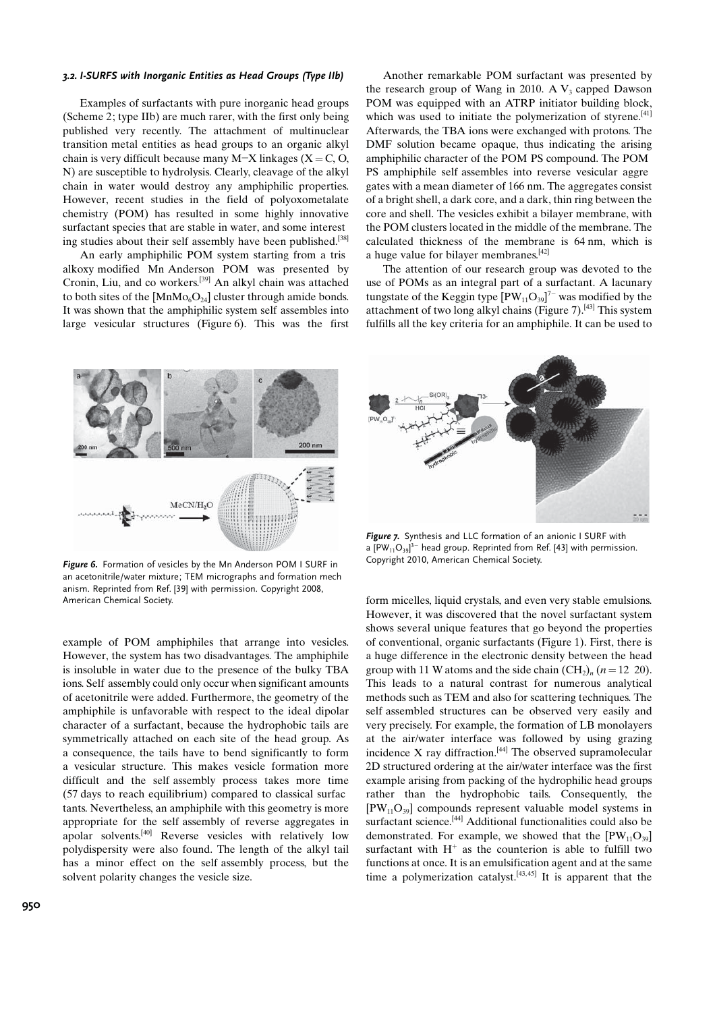#### 3.2. I-SURFS with Inorganic Entities as Head Groups (Type IIb)

Examples of surfactants with pure inorganic head groups (Scheme 2; type IIb) are much rarer, with the first only being published very recently. The attachment of multinuclear transition metal entities as head groups to an organic alkyl chain is very difficult because many M-X linkages (X = C, O, N) are susceptible to hydrolysis. Clearly, cleavage of the alkyl chain in water would destroy any amphiphilic properties. However, recent studies in the field of polyoxometalate chemistry (POM) has resulted in some highly innovative surfactant species that are stable in water, and some interest ing studies about their self assembly have been published.<sup>[38]</sup>

An early amphiphilic POM system starting from a tris alkoxy modified Mn Anderson POM was presented by Cronin, Liu, and co workers.[39] An alkyl chain was attached to both sites of the  $[MnMo<sub>6</sub>O<sub>24</sub>]$  cluster through amide bonds. It was shown that the amphiphilic system self assembles into large vesicular structures (Figure 6). This was the first

Another remarkable POM surfactant was presented by the research group of Wang in 2010. A  $V_3$  capped Dawson POM was equipped with an ATRP initiator building block, which was used to initiate the polymerization of styrene.<sup>[41]</sup> Afterwards, the TBA ions were exchanged with protons. The DMF solution became opaque, thus indicating the arising amphiphilic character of the POM PS compound. The POM PS amphiphile self assembles into reverse vesicular aggre gates with a mean diameter of 166 nm. The aggregates consist of a bright shell, a dark core, and a dark, thin ring between the core and shell. The vesicles exhibit a bilayer membrane, with the POM clusters located in the middle of the membrane. The calculated thickness of the membrane is 64 nm, which is a huge value for bilayer membranes.[42]

The attention of our research group was devoted to the use of POMs as an integral part of a surfactant. A lacunary tungstate of the Keggin type  $[\mathrm{PW}_{11}\mathrm{O}_{39}]^{7-}$  was modified by the attachment of two long alkyl chains (Figure 7).<sup>[43]</sup> This system fulfills all the key criteria for an amphiphile. It can be used to



Figure 6. Formation of vesicles by the Mn Anderson POM I SURF in an acetonitrile/water mixture; TEM micrographs and formation mech anism. Reprinted from Ref. [39] with permission. Copyright 2008, American Chemical Society.

example of POM amphiphiles that arrange into vesicles. However, the system has two disadvantages. The amphiphile is insoluble in water due to the presence of the bulky TBA ions. Self assembly could only occur when significant amounts of acetonitrile were added. Furthermore, the geometry of the amphiphile is unfavorable with respect to the ideal dipolar character of a surfactant, because the hydrophobic tails are symmetrically attached on each site of the head group. As a consequence, the tails have to bend significantly to form a vesicular structure. This makes vesicle formation more difficult and the self assembly process takes more time (57 days to reach equilibrium) compared to classical surfac tants. Nevertheless, an amphiphile with this geometry is more appropriate for the self assembly of reverse aggregates in apolar solvents.[40] Reverse vesicles with relatively low polydispersity were also found. The length of the alkyl tail has a minor effect on the self assembly process, but the solvent polarity changes the vesicle size.



Figure 7. Synthesis and LLC formation of an anionic I SURF with a [PW $_{11}$ O $_{39}$ ] $^3-$  head group. Reprinted from Ref. [43] with permission. Copyright 2010, American Chemical Society.

form micelles, liquid crystals, and even very stable emulsions. However, it was discovered that the novel surfactant system shows several unique features that go beyond the properties of conventional, organic surfactants (Figure 1). First, there is a huge difference in the electronic density between the head group with 11 W atoms and the side chain  $(CH_2)_n$  ( $n = 12, 20$ ). This leads to a natural contrast for numerous analytical methods such as TEM and also for scattering techniques. The self assembled structures can be observed very easily and very precisely. For example, the formation of LB monolayers at the air/water interface was followed by using grazing incidence  $X$  ray diffraction.<sup>[44]</sup> The observed supramolecular 2D structured ordering at the air/water interface was the first example arising from packing of the hydrophilic head groups rather than the hydrophobic tails. Consequently, the  $[PW_{11}O_{39}]$  compounds represent valuable model systems in surfactant science.<sup>[44]</sup> Additional functionalities could also be demonstrated. For example, we showed that the  $[PW_{11}O_{39}]$ surfactant with  $H^+$  as the counterion is able to fulfill two functions at once. It is an emulsification agent and at the same time a polymerization catalyst.<sup>[43,45]</sup> It is apparent that the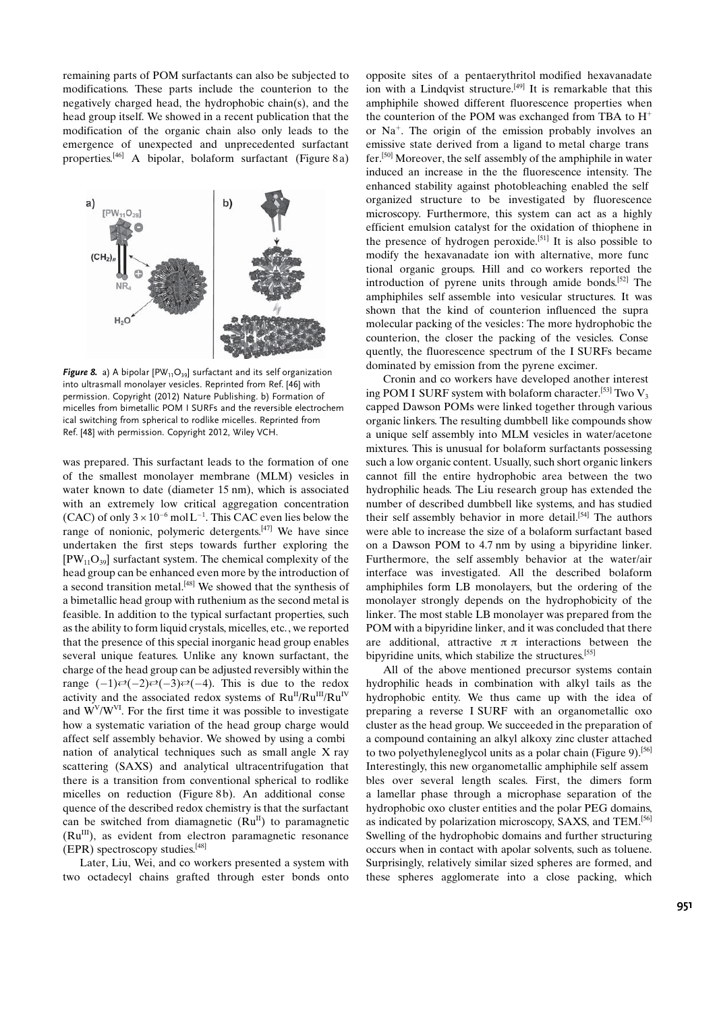remaining parts of POM surfactants can also be subjected to modifications. These parts include the counterion to the negatively charged head, the hydrophobic chain(s), and the head group itself. We showed in a recent publication that the modification of the organic chain also only leads to the emergence of unexpected and unprecedented surfactant properties.[46] A bipolar, bolaform surfactant (Figure 8 a)



Figure 8. a) A bipolar [PW<sub>11</sub>O<sub>39</sub>] surfactant and its self organization into ultrasmall monolayer vesicles. Reprinted from Ref. [46] with permission. Copyright (2012) Nature Publishing. b) Formation of micelles from bimetallic POM I SURFs and the reversible electrochem ical switching from spherical to rodlike micelles. Reprinted from Ref. [48] with permission. Copyright 2012, Wiley VCH.

was prepared. This surfactant leads to the formation of one of the smallest monolayer membrane (MLM) vesicles in water known to date (diameter 15 nm), which is associated with an extremely low critical aggregation concentration (CAC) of only  $3 \times 10^{-6}$  mol L<sup>-1</sup>. This CAC even lies below the range of nonionic, polymeric detergents. $[47]$  We have since undertaken the first steps towards further exploring the  $[PW_{11}O_{39}]$  surfactant system. The chemical complexity of the head group can be enhanced even more by the introduction of a second transition metal.[48] We showed that the synthesis of a bimetallic head group with ruthenium as the second metal is feasible. In addition to the typical surfactant properties, such as the ability to form liquid crystals, micelles, etc., we reported that the presence of this special inorganic head group enables several unique features. Unlike any known surfactant, the charge of the head group can be adjusted reversibly within the range  $(-1) \rightleftharpoons (-2) \rightleftharpoons (-3) \rightleftharpoons (-4)$ . This is due to the redox activity and the associated redox systems of  $Ru^{II}/Ru^{III}/Ru^{IV}$ and  $W<sup>V</sup>/W<sup>VI</sup>$ . For the first time it was possible to investigate how a systematic variation of the head group charge would affect self assembly behavior. We showed by using a combi nation of analytical techniques such as small angle X ray scattering (SAXS) and analytical ultracentrifugation that there is a transition from conventional spherical to rodlike micelles on reduction (Figure 8b). An additional conse quence of the described redox chemistry is that the surfactant can be switched from diamagnetic  $(Ru^{II})$  to paramagnetic  $(Ru^{III})$ , as evident from electron paramagnetic resonance (EPR) spectroscopy studies.[48]

Later, Liu, Wei, and co workers presented a system with two octadecyl chains grafted through ester bonds onto

opposite sites of a pentaerythritol modified hexavanadate ion with a Lindqvist structure.<sup>[49]</sup> It is remarkable that this amphiphile showed different fluorescence properties when the counterion of the POM was exchanged from TBA to  $H^+$ or Na<sup>+</sup>. The origin of the emission probably involves an emissive state derived from a ligand to metal charge trans fer.[50] Moreover, the self assembly of the amphiphile in water induced an increase in the the fluorescence intensity. The enhanced stability against photobleaching enabled the self organized structure to be investigated by fluorescence microscopy. Furthermore, this system can act as a highly efficient emulsion catalyst for the oxidation of thiophene in the presence of hydrogen peroxide.[51] It is also possible to modify the hexavanadate ion with alternative, more func tional organic groups. Hill and co workers reported the introduction of pyrene units through amide bonds.[52] The amphiphiles self assemble into vesicular structures. It was shown that the kind of counterion influenced the supra molecular packing of the vesicles: The more hydrophobic the counterion, the closer the packing of the vesicles. Conse quently, the fluorescence spectrum of the I SURFs became dominated by emission from the pyrene excimer.

Cronin and co workers have developed another interest ing POM I SURF system with bolaform character.<sup>[53]</sup> Two  $V_3$ capped Dawson POMs were linked together through various organic linkers. The resulting dumbbell like compounds show a unique self assembly into MLM vesicles in water/acetone mixtures. This is unusual for bolaform surfactants possessing such a low organic content. Usually, such short organic linkers cannot fill the entire hydrophobic area between the two hydrophilic heads. The Liu research group has extended the number of described dumbbell like systems, and has studied their self assembly behavior in more detail.<sup>[54]</sup> The authors were able to increase the size of a bolaform surfactant based on a Dawson POM to 4.7 nm by using a bipyridine linker. Furthermore, the self assembly behavior at the water/air interface was investigated. All the described bolaform amphiphiles form LB monolayers, but the ordering of the monolayer strongly depends on the hydrophobicity of the linker. The most stable LB monolayer was prepared from the POM with a bipyridine linker, and it was concluded that there are additional, attractive  $\pi \pi$  interactions between the bipyridine units, which stabilize the structures.[55]

All of the above mentioned precursor systems contain hydrophilic heads in combination with alkyl tails as the hydrophobic entity. We thus came up with the idea of preparing a reverse I SURF with an organometallic oxo cluster as the head group. We succeeded in the preparation of a compound containing an alkyl alkoxy zinc cluster attached to two polyethyleneglycol units as a polar chain (Figure 9).[56] Interestingly, this new organometallic amphiphile self assem bles over several length scales. First, the dimers form a lamellar phase through a microphase separation of the hydrophobic oxo cluster entities and the polar PEG domains, as indicated by polarization microscopy, SAXS, and TEM.[56] Swelling of the hydrophobic domains and further structuring occurs when in contact with apolar solvents, such as toluene. Surprisingly, relatively similar sized spheres are formed, and these spheres agglomerate into a close packing, which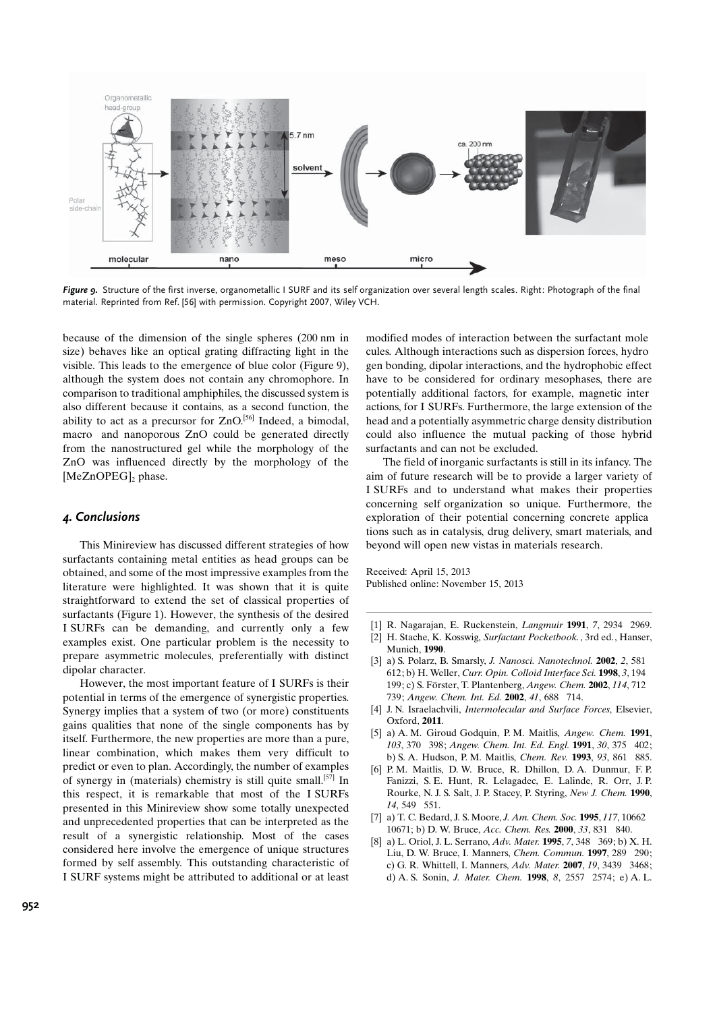

Figure 9. Structure of the first inverse, organometallic I SURF and its self organization over several length scales. Right: Photograph of the final material. Reprinted from Ref. [56] with permission. Copyright 2007, Wiley VCH.

because of the dimension of the single spheres (200 nm in size) behaves like an optical grating diffracting light in the visible. This leads to the emergence of blue color (Figure 9), although the system does not contain any chromophore. In comparison to traditional amphiphiles, the discussed system is also different because it contains, as a second function, the ability to act as a precursor for ZnO.<sup>[56]</sup> Indeed, a bimodal, macro and nanoporous ZnO could be generated directly from the nanostructured gel while the morphology of the ZnO was influenced directly by the morphology of the [ $MeZnOPEG$ ]<sub>2</sub> phase.

## 4. Conclusions

This Minireview has discussed different strategies of how surfactants containing metal entities as head groups can be obtained, and some of the most impressive examples from the literature were highlighted. It was shown that it is quite straightforward to extend the set of classical properties of surfactants (Figure 1). However, the synthesis of the desired I SURFs can be demanding, and currently only a few examples exist. One particular problem is the necessity to prepare asymmetric molecules, preferentially with distinct dipolar character.

However, the most important feature of I SURFs is their potential in terms of the emergence of synergistic properties. Synergy implies that a system of two (or more) constituents gains qualities that none of the single components has by itself. Furthermore, the new properties are more than a pure, linear combination, which makes them very difficult to predict or even to plan. Accordingly, the number of examples of synergy in (materials) chemistry is still quite small.[57] In this respect, it is remarkable that most of the I SURFs presented in this Minireview show some totally unexpected and unprecedented properties that can be interpreted as the result of a synergistic relationship. Most of the cases considered here involve the emergence of unique structures formed by self assembly. This outstanding characteristic of I SURF systems might be attributed to additional or at least

modified modes of interaction between the surfactant mole cules. Although interactions such as dispersion forces, hydro gen bonding, dipolar interactions, and the hydrophobic effect have to be considered for ordinary mesophases, there are potentially additional factors, for example, magnetic inter actions, for I SURFs. Furthermore, the large extension of the head and a potentially asymmetric charge density distribution could also influence the mutual packing of those hybrid surfactants and can not be excluded.

The field of inorganic surfactants is still in its infancy. The aim of future research will be to provide a larger variety of I SURFs and to understand what makes their properties concerning self organization so unique. Furthermore, the exploration of their potential concerning concrete applica tions such as in catalysis, drug delivery, smart materials, and beyond will open new vistas in materials research.

Received: April 15, 2013 Published online: November 15, 2013

- [1] R. Nagarajan, E. Ruckenstein, Langmuir 1991, 7, 2934 2969.
- [2] H. Stache, K. Kosswig, Surfactant Pocketbook., 3rd ed., Hanser, Munich, 1990.
- [3] a) S. Polarz, B. Smarsly, J. Nanosci. Nanotechnol. 2002, 2, 581 612; b) H. Weller, Curr. Opin. Colloid Interface Sci. 1998, 3, 194 199; c) S. Förster, T. Plantenberg, Angew. Chem. 2002, 114, 712 739; Angew. Chem. Int. Ed. 2002, 41, 688 714.
- [4] J. N. Israelachvili, Intermolecular and Surface Forces, Elsevier, Oxford, 2011.
- [5] a) A. M. Giroud Godquin, P. M. Maitlis, Angew. Chem. 1991, 103, 370 398; Angew. Chem. Int. Ed. Engl. 1991, 30, 375 402; b) S. A. Hudson, P. M. Maitlis, Chem. Rev. 1993, 93, 861 885.
- [6] P. M. Maitlis, D. W. Bruce, R. Dhillon, D. A. Dunmur, F. P. Fanizzi, S. E. Hunt, R. Lelagadec, E. Lalinde, R. Orr, J. P. Rourke, N. J. S. Salt, J. P. Stacey, P. Styring, New J. Chem. 1990, 14, 549 551.
- [7] a) T. C. Bedard, J. S. Moore, J. Am. Chem. Soc. 1995, 117, 10662 10671; b) D. W. Bruce, Acc. Chem. Res. 2000, 33, 831 840.
- [8] a) L. Oriol, J. L. Serrano, Adv. Mater. 1995, 7, 348 369; b) X. H. Liu, D. W. Bruce, I. Manners, Chem. Commun. 1997, 289 290; c) G. R. Whittell, I. Manners, Adv. Mater. 2007, 19, 3439 3468; d) A. S. Sonin, J. Mater. Chem. 1998, 8, 2557 2574; e) A. L.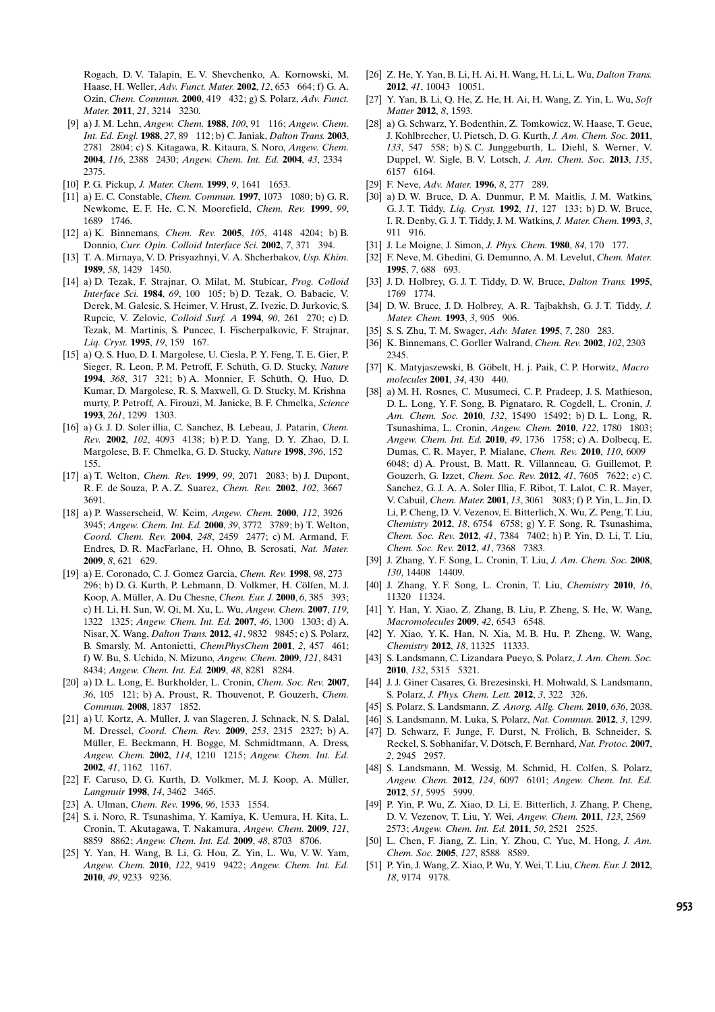Rogach, D. V. Talapin, E. V. Shevchenko, A. Kornowski, M. Haase, H. Weller, Adv. Funct. Mater. 2002, 12, 653 664; f) G. A. Ozin, Chem. Commun. 2000, 419 432; g) S. Polarz, Adv. Funct. Mater. 2011, 21, 3214 3230.

- [9] a) J. M. Lehn, Angew. Chem. 1988, 100, 91 116; Angew. Chem. Int. Ed. Engl. 1988, 27, 89 112; b) C. Janiak, Dalton Trans. 2003, 2781 2804; c) S. Kitagawa, R. Kitaura, S. Noro, Angew. Chem. 2004, 116, 2388 2430; Angew. Chem. Int. Ed. 2004, 43, 2334 2375.
- [10] P. G. Pickup, J. Mater. Chem. 1999, 9, 1641 1653.
- [11] a) E. C. Constable, Chem. Commun. 1997, 1073 1080; b) G. R. Newkome, E. F. He, C. N. Moorefield, Chem. Rev. 1999, 99, 1689 1746.
- [12] a) K. Binnemans, Chem. Rev. 2005, 105, 4148 4204; b) B. Donnio, Curr. Opin. Colloid Interface Sci. 2002, 7, 371 394.
- [13] T. A. Mirnaya, V. D. Prisyazhnyi, V. A. Shcherbakov, Usp. Khim. 1989, 58, 1429 1450.
- [14] a) D. Tezak, F. Strajnar, O. Milat, M. Stubicar, Prog. Colloid Interface Sci. 1984, 69, 100 105; b) D. Tezak, O. Babacic, V. Derek, M. Galesic, S. Heimer, V. Hrust, Z. Ivezic, D. Jurkovic, S. Rupcic, V. Zelovic, Colloid Surf. A 1994, 90, 261 270; c) D. Tezak, M. Martinis, S. Puncec, I. Fischerpalkovic, F. Strajnar, Liq. Cryst. **1995**, 19, 159 167.
- [15] a) Q. S. Huo, D. I. Margolese, U. Ciesla, P. Y. Feng, T. E. Gier, P. Sieger, R. Leon, P. M. Petroff, F. Schüth, G. D. Stucky, Nature 1994, 368, 317 321; b) A. Monnier, F. Schüth, Q. Huo, D. Kumar, D. Margolese, R. S. Maxwell, G. D. Stucky, M. Krishna murty, P. Petroff, A. Firouzi, M. Janicke, B. F. Chmelka, Science 1993, 261, 1299 1303.
- [16] a) G. J. D. Soler illia, C. Sanchez, B. Lebeau, J. Patarin, Chem. Rev. 2002, 102, 4093 4138; b) P. D. Yang, D. Y. Zhao, D. I. Margolese, B. F. Chmelka, G. D. Stucky, Nature 1998, 396, 152 155.
- [17] a) T. Welton, *Chem. Rev.* **1999**, 99, 2071 2083; b) J. Dupont, R. F. de Souza, P. A. Z. Suarez, Chem. Rev. 2002, 102, 3667 3691.
- [18] a) P. Wasserscheid, W. Keim, Angew. Chem. 2000, 112, 3926 3945; Angew. Chem. Int. Ed. 2000, 39, 3772 3789; b) T. Welton, Coord. Chem. Rev. 2004, 248, 2459 2477; c) M. Armand, F. Endres, D. R. MacFarlane, H. Ohno, B. Scrosati, Nat. Mater. 2009, 8, 621 629.
- [19] a) E. Coronado, C. J. Gomez Garcia, Chem. Rev. 1998, 98, 273 296; b) D. G. Kurth, P. Lehmann, D. Volkmer, H. Cölfen, M. J. Koop, A. Müller, A. Du Chesne, Chem. Eur. J. 2000, 6, 385 393; c) H. Li, H. Sun, W. Qi, M. Xu, L. Wu, Angew. Chem. 2007, 119, 1322 1325; Angew. Chem. Int. Ed. 2007, 46, 1300 1303; d) A. Nisar, X. Wang, Dalton Trans. 2012, 41, 9832 9845; e) S. Polarz, B. Smarsly, M. Antonietti, ChemPhysChem 2001, 2, 457 461; f) W. Bu, S. Uchida, N. Mizuno, Angew. Chem. 2009, 121, 8431 8434; Angew. Chem. Int. Ed. 2009, 48, 8281 8284.
- [20] a) D. L. Long, E. Burkholder, L. Cronin, Chem. Soc. Rev. 2007, 36, 105 121; b) A. Proust, R. Thouvenot, P. Gouzerh, Chem. Commun. 2008, 1837 1852.
- [21] a) U. Kortz, A. Müller, J. van Slageren, J. Schnack, N. S. Dalal, M. Dressel, Coord. Chem. Rev. 2009, 253, 2315 2327; b) A. Müller, E. Beckmann, H. Bogge, M. Schmidtmann, A. Dress, Angew. Chem. 2002, 114, 1210 1215; Angew. Chem. Int. Ed. 2002, 41, 1162 1167.
- [22] F. Caruso, D. G. Kurth, D. Volkmer, M. J. Koop, A. Müller, Langmuir 1998, 14, 3462 3465.
- [23] A. Ulman, Chem. Rev. **1996**, 96, 1533 1554.
- [24] S. i. Noro, R. Tsunashima, Y. Kamiya, K. Uemura, H. Kita, L. Cronin, T. Akutagawa, T. Nakamura, Angew. Chem. 2009, 121, 8859 8862; Angew. Chem. Int. Ed. 2009, 48, 8703 8706.
- [25] Y. Yan, H. Wang, B. Li, G. Hou, Z. Yin, L. Wu, V. W. Yam, Angew. Chem. 2010, 122, 9419 9422; Angew. Chem. Int. Ed. 2010, 49, 9233 9236.
- [26] Z. He, Y. Yan, B. Li, H. Ai, H. Wang, H. Li, L. Wu, Dalton Trans. 2012, 41, 10043 10051.
- [27] Y. Yan, B. Li, Q. He, Z. He, H. Ai, H. Wang, Z. Yin, L. Wu, Soft Matter 2012, 8, 1593.
- [28] a) G. Schwarz, Y. Bodenthin, Z. Tomkowicz, W. Haase, T. Geue, J. Kohlbrecher, U. Pietsch, D. G. Kurth, J. Am. Chem. Soc. 2011, 133, 547 558; b) S. C. Junggeburth, L. Diehl, S. Werner, V. Duppel, W. Sigle, B. V. Lotsch, J. Am. Chem. Soc. 2013, 135, 6157 6164.
- [29] F. Neve, Adv. Mater. 1996, 8, 277 289.
- [30] a) D. W. Bruce, D. A. Dunmur, P. M. Maitlis, J. M. Watkins, G. J. T. Tiddy, Liq. Cryst. 1992, 11, 127 133; b) D. W. Bruce, I. R. Denby, G. J. T. Tiddy, J. M. Watkins, J. Mater. Chem. 1993, 3, 911 916.
- [31] J. Le Moigne, J. Simon, *J. Phys. Chem.* **1980**, 84, 170 177.
- [32] F. Neve, M. Ghedini, G. Demunno, A. M. Levelut, Chem. Mater. 1995, 7, 688 693.
- [33] J. D. Holbrey, G. J. T. Tiddy, D. W. Bruce, Dalton Trans. 1995, 1769 1774.
- [34] D. W. Bruce, J. D. Holbrey, A. R. Tajbakhsh, G. J. T. Tiddy, J. Mater. Chem. **1993**, 3, 905 906.
- [35] S. S. Zhu, T. M. Swager, Adv. Mater. 1995, 7, 280 283.
- [36] K. Binnemans, C. Gorller Walrand, Chem. Rev. 2002, 102, 2303 2345.
- [37] K. Matyjaszewski, B. Göbelt, H. j. Paik, C. P. Horwitz, Macro molecules 2001, 34, 430 440.
- [38] a) M. H. Rosnes, C. Musumeci, C. P. Pradeep, J. S. Mathieson, D. L. Long, Y. F. Song, B. Pignataro, R. Cogdell, L. Cronin, J. Am. Chem. Soc. 2010, 132, 15490 15492; b) D. L. Long, R. Tsunashima, L. Cronin, Angew. Chem. 2010, 122, 1780 1803; Angew. Chem. Int. Ed. 2010, 49, 1736 1758; c) A. Dolbecq, E. Dumas, C. R. Mayer, P. Mialane, Chem. Rev. 2010, 110, 6009 6048; d) A. Proust, B. Matt, R. Villanneau, G. Guillemot, P. Gouzerh, G. Izzet, Chem. Soc. Rev. 2012, 41, 7605 7622; e) C. Sanchez, G. J. A. A. Soler Illia, F. Ribot, T. Lalot, C. R. Mayer, V. Cabuil, Chem. Mater. 2001, 13, 3061 3083; f) P. Yin, L. Jin, D. Li, P. Cheng, D. V. Vezenov, E. Bitterlich, X. Wu, Z. Peng, T. Liu, Chemistry 2012, 18, 6754 6758; g) Y. F. Song, R. Tsunashima, Chem. Soc. Rev. 2012, 41, 7384 7402; h) P. Yin, D. Li, T. Liu, Chem. Soc. Rev. 2012, 41, 7368 7383.
- [39] J. Zhang, Y. F. Song, L. Cronin, T. Liu, J. Am. Chem. Soc. 2008, 130, 14408 14409.
- [40] J. Zhang, Y. F. Song, L. Cronin, T. Liu, Chemistry 2010, 16, 11320 11324.
- [41] Y. Han, Y. Xiao, Z. Zhang, B. Liu, P. Zheng, S. He, W. Wang, Macromolecules 2009, 42, 6543 6548.
- [42] Y. Xiao, Y. K. Han, N. Xia, M. B. Hu, P. Zheng, W. Wang, Chemistry 2012, 18, 11325 11333.
- [43] S. Landsmann, C. Lizandara Pueyo, S. Polarz, J. Am. Chem. Soc. 2010, 132, 5315 5321.
- [44] J. J. Giner Casares, G. Brezesinski, H. Mohwald, S. Landsmann, S. Polarz, J. Phys. Chem. Lett. 2012, 3, 322 326.
- [45] S. Polarz, S. Landsmann, Z. Anorg. Allg. Chem. 2010, 636, 2038.
- [46] S. Landsmann, M. Luka, S. Polarz, Nat. Commun. 2012, 3, 1299.
- [47] D. Schwarz, F. Junge, F. Durst, N. Frölich, B. Schneider, S. Reckel, S. Sobhanifar, V. Dötsch, F. Bernhard, Nat. Protoc. 2007, 2, 2945 2957.
- [48] S. Landsmann, M. Wessig, M. Schmid, H. Colfen, S. Polarz, Angew. Chem. 2012, 124, 6097 6101; Angew. Chem. Int. Ed. 2012, 51, 5995 5999.
- [49] P. Yin, P. Wu, Z. Xiao, D. Li, E. Bitterlich, J. Zhang, P. Cheng, D. V. Vezenov, T. Liu, Y. Wei, Angew. Chem. 2011, 123, 2569 2573; Angew. Chem. Int. Ed. 2011, 50, 2521 2525.
- [50] L. Chen, F. Jiang, Z. Lin, Y. Zhou, C. Yue, M. Hong, J. Am. Chem. Soc. 2005, 127, 8588 8589.
- [51] P. Yin, J. Wang, Z. Xiao, P. Wu, Y. Wei, T. Liu, Chem. Eur. J. 2012, 18, 9174 9178.